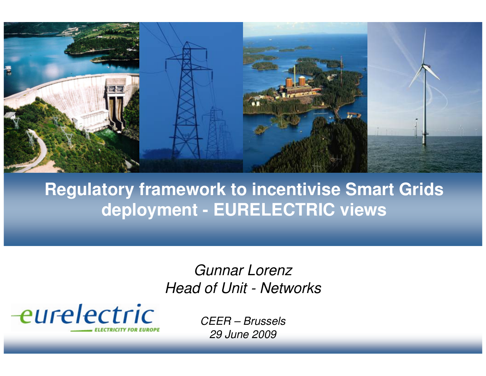

### **Regulatory framework to incentivise Smart Grids deployment - EURELECTRIC views**

Gunnar LorenzHead of Unit - Networks

eurelectric

CEER – Brussels29 June 2009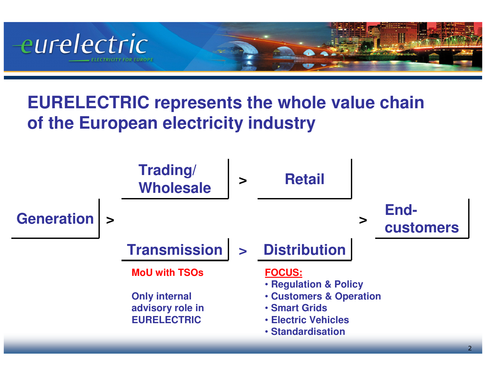

## **EURELECTRIC represents the whole value chain of the European electricity industry**

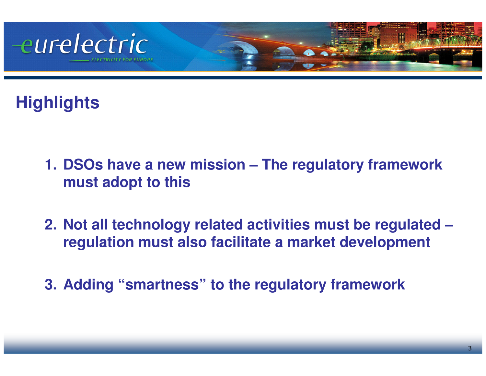

# **Highlights**

- **1. DSOs have a new mission – The regulatory frameworkmust adopt to this**
- **2. Not all technology related activities must be regulated –regulation must also facilitate a market development**
- **3. Adding "smartness" to the regulatory framework**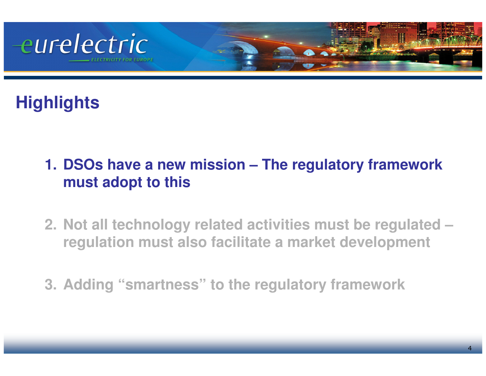

# **Highlights**

- **1. DSOs have a new mission – The regulatory frameworkmust adopt to this**
- **2. Not all technology related activities must be regulated –regulation must also facilitate a market development**
- **3. Adding "smartness" to the regulatory framework**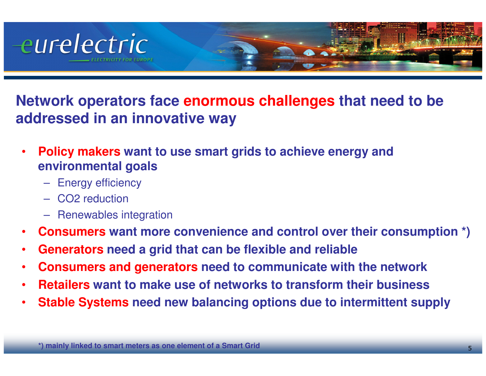

**Network operators face enormous challenges that need to be addressed in an innovative way**

- • **Policy makers want to use smart grids to achieve energy and environmental goals** 
	- Energy efficiency
	- CO2 reduction
	- Renewables integration
- •**Consumers want more convenience and control over their consumption \*)**
- •**Generators need a grid that can be flexible and reliable**
- •**Consumers and generators need to communicate with the network**
- •**Retailers want to make use of networks to transform their business**
- •**Stable Systems need new balancing options due to intermittent supply**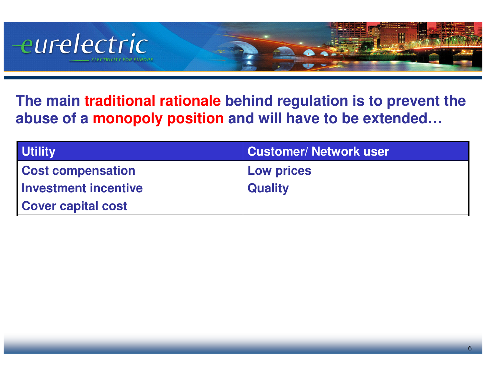

**The main traditional rationale behind regulation is to prevent the abuse of a monopoly position and will have to be extended…**

| <b>Utility</b>            | <b>Customer/ Network user</b> |
|---------------------------|-------------------------------|
| <b>Cost compensation</b>  | <b>Low prices</b>             |
| Investment incentive      | <b>Quality</b>                |
| <b>Cover capital cost</b> |                               |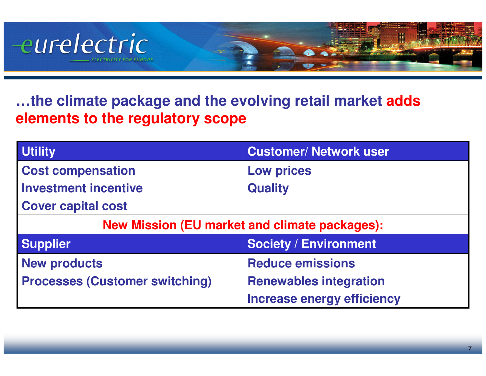

#### **…the climate package and the evolving retail market adds elements to the regulatory scope**

| <b>Utility</b>                                       | <b>Customer/ Network user</b>     |  |
|------------------------------------------------------|-----------------------------------|--|
| <b>Cost compensation</b>                             | <b>Low prices</b>                 |  |
| <b>Investment incentive</b>                          | <b>Quality</b>                    |  |
| <b>Cover capital cost</b>                            |                                   |  |
| <b>New Mission (EU market and climate packages):</b> |                                   |  |
| <b>Supplier</b>                                      | <b>Society / Environment</b>      |  |
| <b>New products</b>                                  | <b>Reduce emissions</b>           |  |
| <b>Processes (Customer switching)</b>                | <b>Renewables integration</b>     |  |
|                                                      | <b>Increase energy efficiency</b> |  |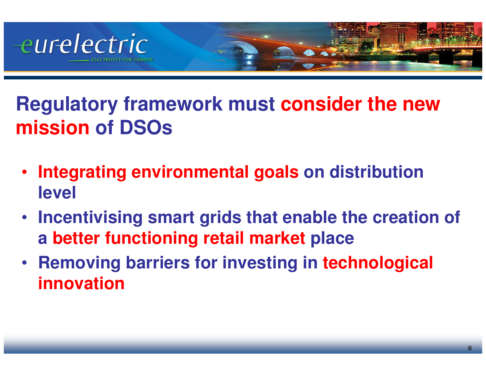

**Regulatory framework must consider the new mission of DSOs**

- • **Integrating environmental goals on distribution level**
- **Incentivising smart grids that enable the creation of a better functioning retail market place**
- **Removing barriers for investing in technological innovation**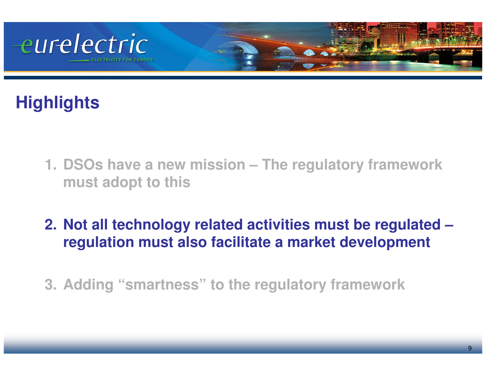

# **Highlights**

- **1. DSOs have a new mission – The regulatory frameworkmust adopt to this**
- **2. Not all technology related activities must be regulated –regulation must also facilitate a market development**
- **3. Adding "smartness" to the regulatory framework**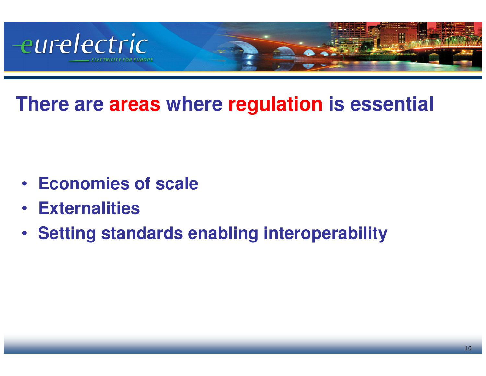

**There are areas where regulation is essential**

- **Economies of scale**
- $\bullet$ **Externalities**
- **Setting standards enabling interoperability**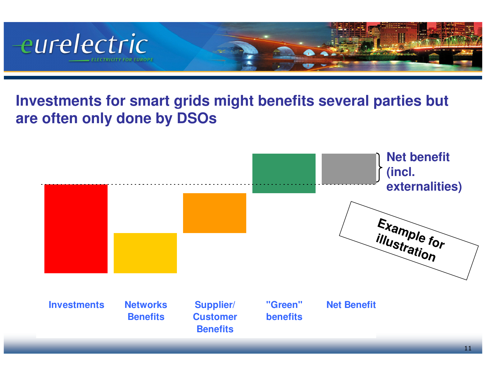

#### **Investments for smart grids might benefits several parties but are often only done by DSOs**

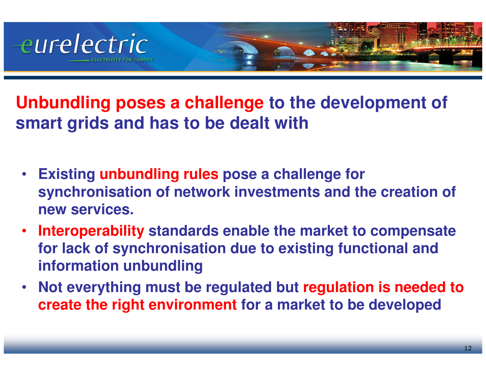

**Unbundling poses a challenge to the development of smart grids and has to be dealt with**

- $\bullet$  **Existing unbundling rules pose a challenge for synchronisation of network investments and the creation of new services.**
- • **Interoperability standards enable the market to compensate for lack of synchronisation due to existing functional and information unbundling**
- • **Not everything must be regulated but regulation is needed to create the right environment for a market to be developed**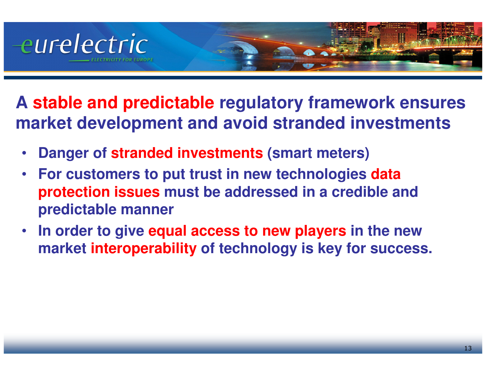

- **A stable and predictable regulatory framework ensures market development and avoid stranded investments**
	- •**Danger of stranded investments (smart meters)**
	- $\bullet$  **For customers to put trust in new technologies data protection issues must be addressed in a credible and predictable manner**
	- • **In order to give equal access to new players in the new market interoperability of technology is key for success.**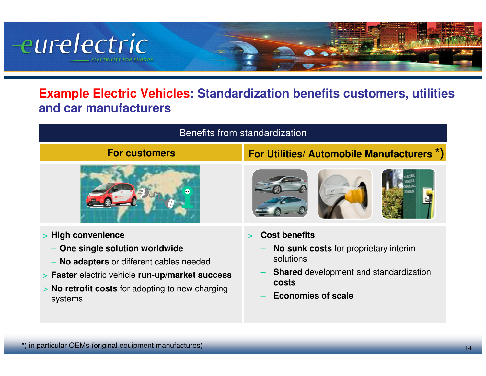

#### **Example Electric Vehicles: Standardization benefits customers, utilities and car manufacturers**

| Benefits from standardization                                                                                                                                                                                   |                                                                                                                                                                   |
|-----------------------------------------------------------------------------------------------------------------------------------------------------------------------------------------------------------------|-------------------------------------------------------------------------------------------------------------------------------------------------------------------|
| <b>For customers</b>                                                                                                                                                                                            | For Utilities/ Automobile Manufacturers *)                                                                                                                        |
|                                                                                                                                                                                                                 |                                                                                                                                                                   |
| > High convenience<br>One single solution worldwide<br>No adapters or different cables needed<br>> Faster electric vehicle run-up/market success<br>> No retrofit costs for adopting to new charging<br>systems | <b>Cost benefits</b><br>No sunk costs for proprietary interim<br>solutions<br><b>Shared</b> development and standardization<br>costs<br><b>Economies of scale</b> |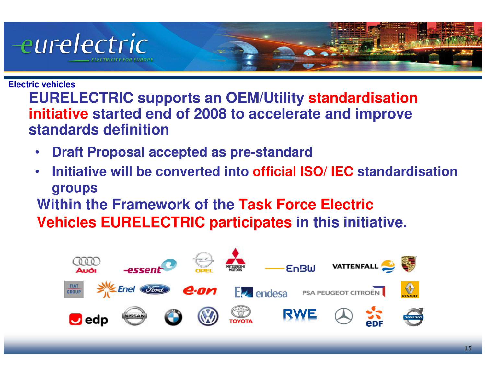

#### **Electric vehicles**

 **EURELECTRIC supports an OEM/Utility standardisation initiative started end of 2008 to accelerate and improve standards definition**

- •**Draft Proposal accepted as pre-standard**
- **Initiative will be converted into official ISO/ IEC standardisation**  •**groups**

 **Within the Framework of the Task Force Electric Vehicles EURELECTRIC participates in this initiative.**

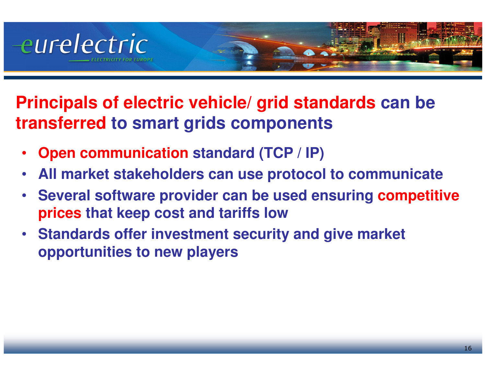

**Principals of electric vehicle/ grid standards can be transferred to smart grids components**

- •**Open communication standard (TCP / IP)**
- •**All market stakeholders can use protocol to communicate**
- • **Several software provider can be used ensuring competitive prices that keep cost and tariffs low**
- **Standards offer investment security and give market opportunities to new players**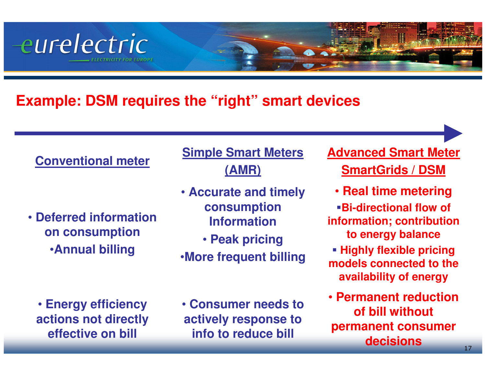#### **Example: DSM requires the "right" smart devices**

#### **Conventional meter**

eurelectric

• **Deferred information on consumption**•**Annual billing**

**Simple Smart Meters(AMR)**

- **Accurate and timely consumption Information**
	- **Peak pricing**
- •**More frequent billing**

• **Energy efficiency actions not directly effective on bill**

• **Consumer needs to actively response to info to reduce bill**

**Advanced Smart MeterSmartGrids / DSM**

• **Real time metering**

 **Bi-directional flow of information; contribution to energy balance**

- **Highly flexible pricing models connected to the availability of energy**
- **Permanent reduction of bill without permanent consumer decisions**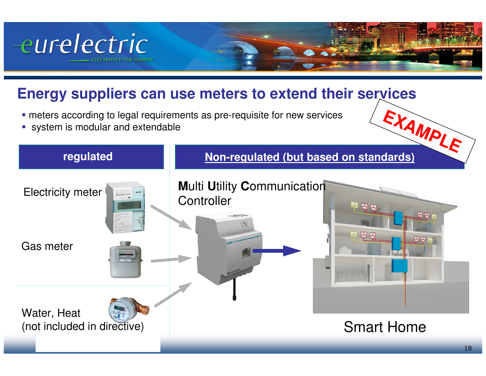

#### **Energy suppliers can use meters to extend their services**

- meters according to legal requirements as pre-requisite for new services
- system is modular and extendable

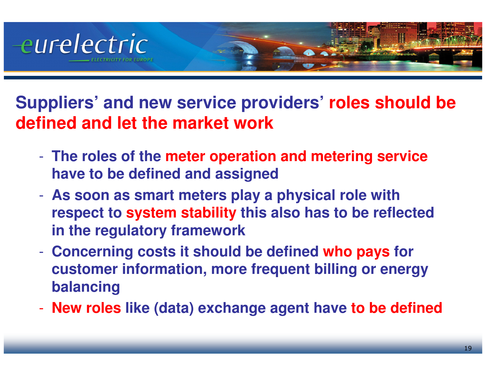

- **Suppliers' and new service providers' roles should be defined and let the market work**
	-
	-
	- The roles of the meter operation and metering service<br>have to be defined and assigned<br>- As soon as smart meters play a physical role with<br>respect to system stability this also has to be reflected<br>in the regulatory framew
	-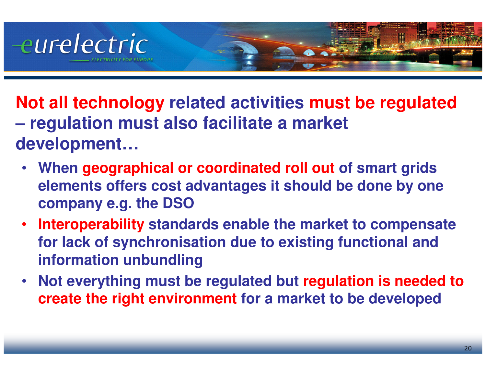

**Not all technology related activities must be regulated– regulation must also facilitate a market development…**

- **When geographical or coordinated roll out of smart grids elements offers cost advantages it should be done by one company e.g. the DSO**
- **Interoperability standards enable the market to compensate**   $\bullet$ **for lack of synchronisation due to existing functional and information unbundling**
- $\bullet$  **Not everything must be regulated but regulation is needed to create the right environment for a market to be developed**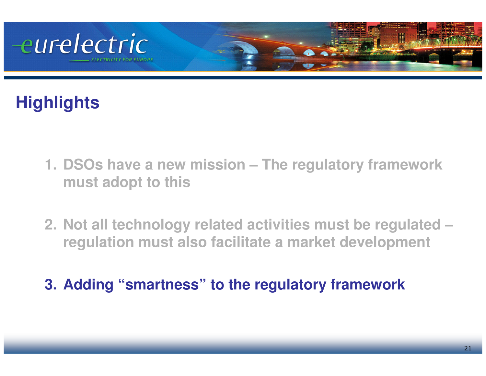

# **Highlights**

- **1. DSOs have a new mission – The regulatory frameworkmust adopt to this**
- **2. Not all technology related activities must be regulated –regulation must also facilitate a market development**
- **3. Adding "smartness" to the regulatory framework**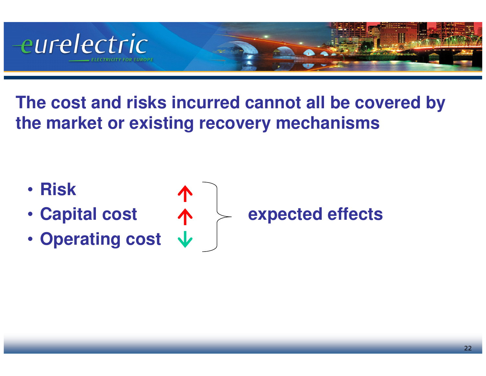

**The cost and risks incurred cannot all be covered by the market or existing recovery mechanisms**

- **Risk**
- **Capital cost**
- **Operating cost**



**expected effects**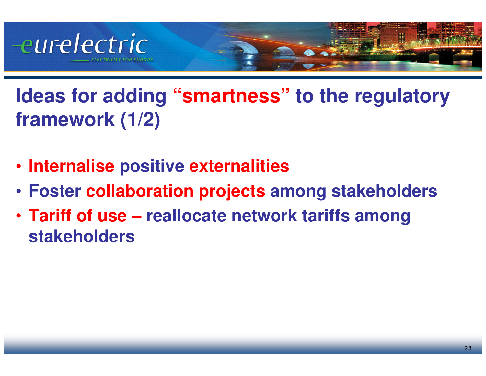

**Ideas for adding "smartness" to the regulatory framework (1/2)**

- **Internalise positive externalities**
- **Foster collaboration projects among stakeholders**
- **Tariff of use – reallocate network tariffs among stakeholders**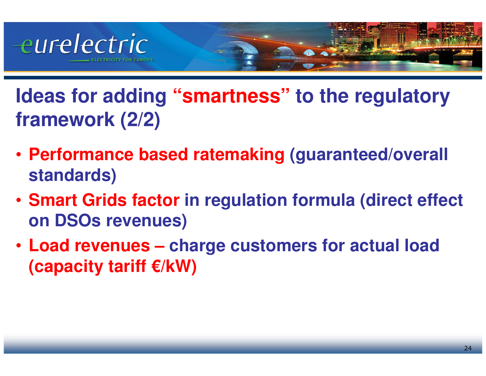

**Ideas for adding "smartness" to the regulatory framework (2/2)**

- **Performance based ratemaking (guaranteed/overall standards)**
- **Smart Grids factor in regulation formula (direct effect on DSOs revenues)**
- **Load revenues – charge customers for actual load(capacity tariff €/kW)**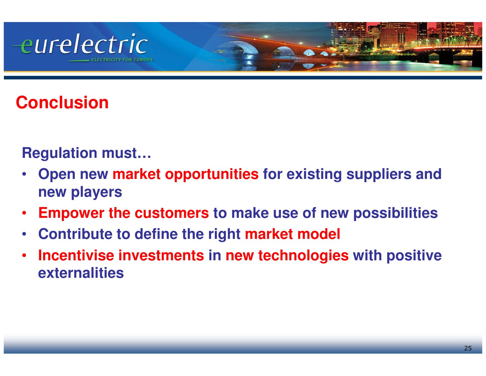# eurelectric

# **Conclusion**

### **Regulation must…**

- **Open new market opportunities for existing suppliers and**  •**new players**
- •**Empower the customers to make use of new possibilities**
- $\bullet$ **Contribute to define the right market model**
- • **Incentivise investments in new technologies with positive externalities**